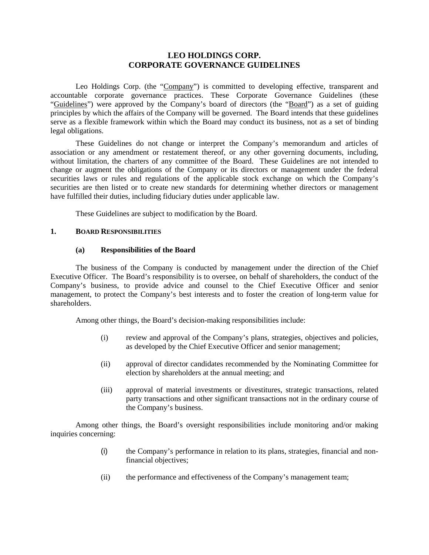# **LEO HOLDINGS CORP. CORPORATE GOVERNANCE GUIDELINES**

Leo Holdings Corp. (the "Company") is committed to developing effective, transparent and accountable corporate governance practices. These Corporate Governance Guidelines (these "Guidelines") were approved by the Company's board of directors (the "Board") as a set of guiding principles by which the affairs of the Company will be governed. The Board intends that these guidelines serve as a flexible framework within which the Board may conduct its business, not as a set of binding legal obligations.

These Guidelines do not change or interpret the Company's memorandum and articles of association or any amendment or restatement thereof, or any other governing documents, including, without limitation, the charters of any committee of the Board. These Guidelines are not intended to change or augment the obligations of the Company or its directors or management under the federal securities laws or rules and regulations of the applicable stock exchange on which the Company's securities are then listed or to create new standards for determining whether directors or management have fulfilled their duties, including fiduciary duties under applicable law.

These Guidelines are subject to modification by the Board.

#### **1. BOARD RESPONSIBILITIES**

#### **(a) Responsibilities of the Board**

The business of the Company is conducted by management under the direction of the Chief Executive Officer. The Board's responsibility is to oversee, on behalf of shareholders, the conduct of the Company's business, to provide advice and counsel to the Chief Executive Officer and senior management, to protect the Company's best interests and to foster the creation of long-term value for shareholders.

Among other things, the Board's decision-making responsibilities include:

- (i) review and approval of the Company's plans, strategies, objectives and policies, as developed by the Chief Executive Officer and senior management;
- (ii) approval of director candidates recommended by the Nominating Committee for election by shareholders at the annual meeting; and
- (iii) approval of material investments or divestitures, strategic transactions, related party transactions and other significant transactions not in the ordinary course of the Company's business.

Among other things, the Board's oversight responsibilities include monitoring and/or making inquiries concerning:

- (i) the Company's performance in relation to its plans, strategies, financial and nonfinancial objectives;
- (ii) the performance and effectiveness of the Company's management team;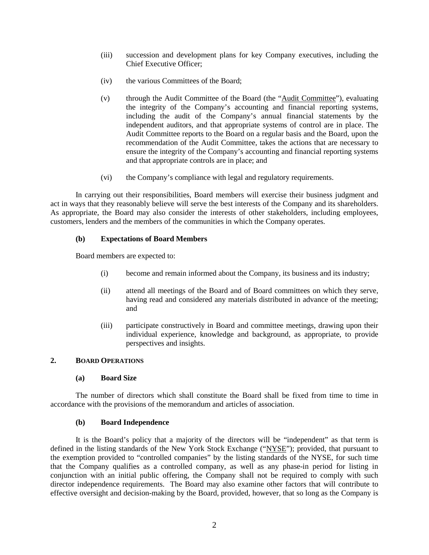- (iii) succession and development plans for key Company executives, including the Chief Executive Officer;
- (iv) the various Committees of the Board;
- (v) through the Audit Committee of the Board (the "Audit Committee"), evaluating the integrity of the Company's accounting and financial reporting systems, including the audit of the Company's annual financial statements by the independent auditors, and that appropriate systems of control are in place. The Audit Committee reports to the Board on a regular basis and the Board, upon the recommendation of the Audit Committee, takes the actions that are necessary to ensure the integrity of the Company's accounting and financial reporting systems and that appropriate controls are in place; and
- (vi) the Company's compliance with legal and regulatory requirements.

In carrying out their responsibilities, Board members will exercise their business judgment and act in ways that they reasonably believe will serve the best interests of the Company and its shareholders. As appropriate, the Board may also consider the interests of other stakeholders, including employees, customers, lenders and the members of the communities in which the Company operates.

# **(b) Expectations of Board Members**

Board members are expected to:

- (i) become and remain informed about the Company, its business and its industry;
- (ii) attend all meetings of the Board and of Board committees on which they serve, having read and considered any materials distributed in advance of the meeting; and
- (iii) participate constructively in Board and committee meetings, drawing upon their individual experience, knowledge and background, as appropriate, to provide perspectives and insights.

# **2. BOARD OPERATIONS**

### **(a) Board Size**

The number of directors which shall constitute the Board shall be fixed from time to time in accordance with the provisions of the memorandum and articles of association.

### **(b) Board Independence**

It is the Board's policy that a majority of the directors will be "independent" as that term is defined in the listing standards of the New York Stock Exchange ("NYSE"); provided, that pursuant to the exemption provided to "controlled companies" by the listing standards of the NYSE, for such time that the Company qualifies as a controlled company, as well as any phase-in period for listing in conjunction with an initial public offering, the Company shall not be required to comply with such director independence requirements. The Board may also examine other factors that will contribute to effective oversight and decision-making by the Board, provided, however, that so long as the Company is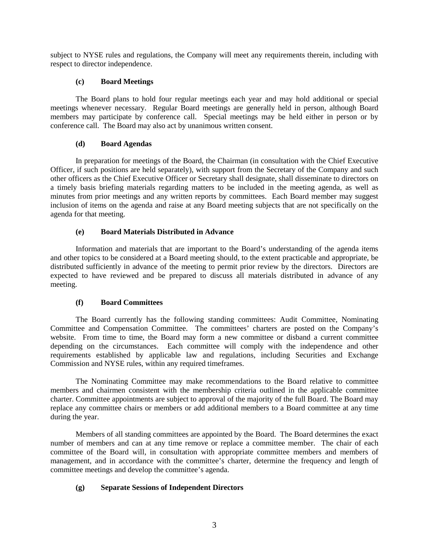subject to NYSE rules and regulations, the Company will meet any requirements therein, including with respect to director independence.

### **(c) Board Meetings**

The Board plans to hold four regular meetings each year and may hold additional or special meetings whenever necessary. Regular Board meetings are generally held in person, although Board members may participate by conference call. Special meetings may be held either in person or by conference call. The Board may also act by unanimous written consent.

# **(d) Board Agendas**

In preparation for meetings of the Board, the Chairman (in consultation with the Chief Executive Officer, if such positions are held separately), with support from the Secretary of the Company and such other officers as the Chief Executive Officer or Secretary shall designate, shall disseminate to directors on a timely basis briefing materials regarding matters to be included in the meeting agenda, as well as minutes from prior meetings and any written reports by committees. Each Board member may suggest inclusion of items on the agenda and raise at any Board meeting subjects that are not specifically on the agenda for that meeting.

# **(e) Board Materials Distributed in Advance**

Information and materials that are important to the Board's understanding of the agenda items and other topics to be considered at a Board meeting should, to the extent practicable and appropriate, be distributed sufficiently in advance of the meeting to permit prior review by the directors. Directors are expected to have reviewed and be prepared to discuss all materials distributed in advance of any meeting.

### **(f) Board Committees**

The Board currently has the following standing committees: Audit Committee, Nominating Committee and Compensation Committee. The committees' charters are posted on the Company's website. From time to time, the Board may form a new committee or disband a current committee depending on the circumstances. Each committee will comply with the independence and other requirements established by applicable law and regulations, including Securities and Exchange Commission and NYSE rules, within any required timeframes.

The Nominating Committee may make recommendations to the Board relative to committee members and chairmen consistent with the membership criteria outlined in the applicable committee charter. Committee appointments are subject to approval of the majority of the full Board. The Board may replace any committee chairs or members or add additional members to a Board committee at any time during the year.

Members of all standing committees are appointed by the Board. The Board determines the exact number of members and can at any time remove or replace a committee member. The chair of each committee of the Board will, in consultation with appropriate committee members and members of management, and in accordance with the committee's charter, determine the frequency and length of committee meetings and develop the committee's agenda.

# **(g) Separate Sessions of Independent Directors**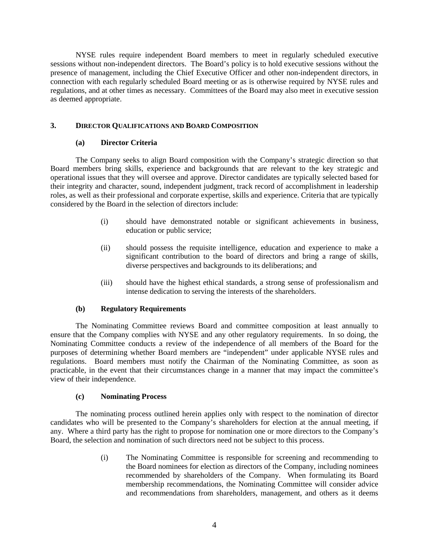NYSE rules require independent Board members to meet in regularly scheduled executive sessions without non-independent directors. The Board's policy is to hold executive sessions without the presence of management, including the Chief Executive Officer and other non-independent directors, in connection with each regularly scheduled Board meeting or as is otherwise required by NYSE rules and regulations, and at other times as necessary. Committees of the Board may also meet in executive session as deemed appropriate.

### **3. DIRECTOR QUALIFICATIONS AND BOARD COMPOSITION**

## **(a) Director Criteria**

The Company seeks to align Board composition with the Company's strategic direction so that Board members bring skills, experience and backgrounds that are relevant to the key strategic and operational issues that they will oversee and approve. Director candidates are typically selected based for their integrity and character, sound, independent judgment, track record of accomplishment in leadership roles, as well as their professional and corporate expertise, skills and experience. Criteria that are typically considered by the Board in the selection of directors include:

- (i) should have demonstrated notable or significant achievements in business, education or public service;
- (ii) should possess the requisite intelligence, education and experience to make a significant contribution to the board of directors and bring a range of skills, diverse perspectives and backgrounds to its deliberations; and
- (iii) should have the highest ethical standards, a strong sense of professionalism and intense dedication to serving the interests of the shareholders.

### **(b) Regulatory Requirements**

The Nominating Committee reviews Board and committee composition at least annually to ensure that the Company complies with NYSE and any other regulatory requirements. In so doing, the Nominating Committee conducts a review of the independence of all members of the Board for the purposes of determining whether Board members are "independent" under applicable NYSE rules and regulations. Board members must notify the Chairman of the Nominating Committee, as soon as practicable, in the event that their circumstances change in a manner that may impact the committee's view of their independence.

### **(c) Nominating Process**

The nominating process outlined herein applies only with respect to the nomination of director candidates who will be presented to the Company's shareholders for election at the annual meeting, if any. Where a third party has the right to propose for nomination one or more directors to the Company's Board, the selection and nomination of such directors need not be subject to this process.

> (i) The Nominating Committee is responsible for screening and recommending to the Board nominees for election as directors of the Company, including nominees recommended by shareholders of the Company. When formulating its Board membership recommendations, the Nominating Committee will consider advice and recommendations from shareholders, management, and others as it deems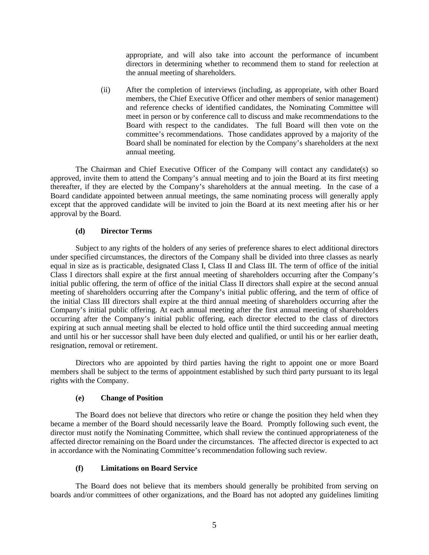appropriate, and will also take into account the performance of incumbent directors in determining whether to recommend them to stand for reelection at the annual meeting of shareholders.

(ii) After the completion of interviews (including, as appropriate, with other Board members, the Chief Executive Officer and other members of senior management) and reference checks of identified candidates, the Nominating Committee will meet in person or by conference call to discuss and make recommendations to the Board with respect to the candidates. The full Board will then vote on the committee's recommendations. Those candidates approved by a majority of the Board shall be nominated for election by the Company's shareholders at the next annual meeting.

The Chairman and Chief Executive Officer of the Company will contact any candidate(s) so approved, invite them to attend the Company's annual meeting and to join the Board at its first meeting thereafter, if they are elected by the Company's shareholders at the annual meeting. In the case of a Board candidate appointed between annual meetings, the same nominating process will generally apply except that the approved candidate will be invited to join the Board at its next meeting after his or her approval by the Board.

### **(d) Director Terms**

Subject to any rights of the holders of any series of preference shares to elect additional directors under specified circumstances, the directors of the Company shall be divided into three classes as nearly equal in size as is practicable, designated Class I, Class II and Class III. The term of office of the initial Class I directors shall expire at the first annual meeting of shareholders occurring after the Company's initial public offering, the term of office of the initial Class II directors shall expire at the second annual meeting of shareholders occurring after the Company's initial public offering, and the term of office of the initial Class III directors shall expire at the third annual meeting of shareholders occurring after the Company's initial public offering. At each annual meeting after the first annual meeting of shareholders occurring after the Company's initial public offering, each director elected to the class of directors expiring at such annual meeting shall be elected to hold office until the third succeeding annual meeting and until his or her successor shall have been duly elected and qualified, or until his or her earlier death, resignation, removal or retirement.

Directors who are appointed by third parties having the right to appoint one or more Board members shall be subject to the terms of appointment established by such third party pursuant to its legal rights with the Company.

### **(e) Change of Position**

The Board does not believe that directors who retire or change the position they held when they became a member of the Board should necessarily leave the Board. Promptly following such event, the director must notify the Nominating Committee, which shall review the continued appropriateness of the affected director remaining on the Board under the circumstances. The affected director is expected to act in accordance with the Nominating Committee's recommendation following such review.

### **(f) Limitations on Board Service**

The Board does not believe that its members should generally be prohibited from serving on boards and/or committees of other organizations, and the Board has not adopted any guidelines limiting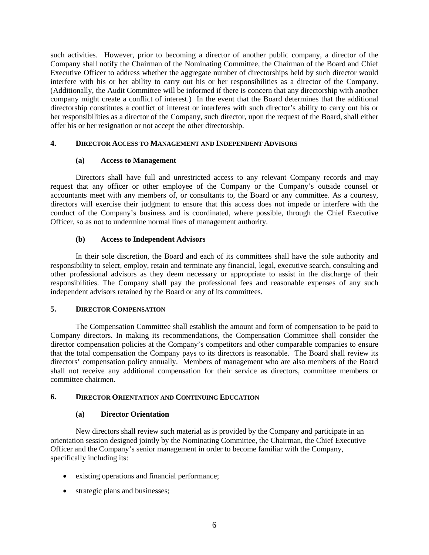such activities. However, prior to becoming a director of another public company, a director of the Company shall notify the Chairman of the Nominating Committee, the Chairman of the Board and Chief Executive Officer to address whether the aggregate number of directorships held by such director would interfere with his or her ability to carry out his or her responsibilities as a director of the Company. (Additionally, the Audit Committee will be informed if there is concern that any directorship with another company might create a conflict of interest.) In the event that the Board determines that the additional directorship constitutes a conflict of interest or interferes with such director's ability to carry out his or her responsibilities as a director of the Company, such director, upon the request of the Board, shall either offer his or her resignation or not accept the other directorship.

### **4. DIRECTOR ACCESS TO MANAGEMENT AND INDEPENDENT ADVISORS**

#### **(a) Access to Management**

Directors shall have full and unrestricted access to any relevant Company records and may request that any officer or other employee of the Company or the Company's outside counsel or accountants meet with any members of, or consultants to, the Board or any committee. As a courtesy, directors will exercise their judgment to ensure that this access does not impede or interfere with the conduct of the Company's business and is coordinated, where possible, through the Chief Executive Officer, so as not to undermine normal lines of management authority.

### **(b) Access to Independent Advisors**

In their sole discretion, the Board and each of its committees shall have the sole authority and responsibility to select, employ, retain and terminate any financial, legal, executive search, consulting and other professional advisors as they deem necessary or appropriate to assist in the discharge of their responsibilities. The Company shall pay the professional fees and reasonable expenses of any such independent advisors retained by the Board or any of its committees.

#### **5. DIRECTOR COMPENSATION**

The Compensation Committee shall establish the amount and form of compensation to be paid to Company directors. In making its recommendations, the Compensation Committee shall consider the director compensation policies at the Company's competitors and other comparable companies to ensure that the total compensation the Company pays to its directors is reasonable. The Board shall review its directors' compensation policy annually. Members of management who are also members of the Board shall not receive any additional compensation for their service as directors, committee members or committee chairmen.

### **6. DIRECTOR ORIENTATION AND CONTINUING EDUCATION**

### **(a) Director Orientation**

New directors shall review such material as is provided by the Company and participate in an orientation session designed jointly by the Nominating Committee, the Chairman, the Chief Executive Officer and the Company's senior management in order to become familiar with the Company, specifically including its:

- existing operations and financial performance;
- strategic plans and businesses;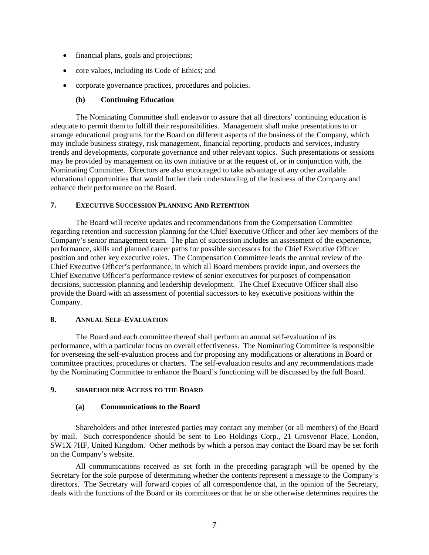- financial plans, goals and projections;
- core values, including its Code of Ethics; and
- corporate governance practices, procedures and policies.

### **(b) Continuing Education**

The Nominating Committee shall endeavor to assure that all directors' continuing education is adequate to permit them to fulfill their responsibilities. Management shall make presentations to or arrange educational programs for the Board on different aspects of the business of the Company, which may include business strategy, risk management, financial reporting, products and services, industry trends and developments, corporate governance and other relevant topics. Such presentations or sessions may be provided by management on its own initiative or at the request of, or in conjunction with, the Nominating Committee. Directors are also encouraged to take advantage of any other available educational opportunities that would further their understanding of the business of the Company and enhance their performance on the Board.

# **7. EXECUTIVE SUCCESSION PLANNING AND RETENTION**

The Board will receive updates and recommendations from the Compensation Committee regarding retention and succession planning for the Chief Executive Officer and other key members of the Company's senior management team. The plan of succession includes an assessment of the experience, performance, skills and planned career paths for possible successors for the Chief Executive Officer position and other key executive roles. The Compensation Committee leads the annual review of the Chief Executive Officer's performance, in which all Board members provide input, and oversees the Chief Executive Officer's performance review of senior executives for purposes of compensation decisions, succession planning and leadership development. The Chief Executive Officer shall also provide the Board with an assessment of potential successors to key executive positions within the Company.

#### **8. ANNUAL SELF-EVALUATION**

The Board and each committee thereof shall perform an annual self-evaluation of its performance, with a particular focus on overall effectiveness. The Nominating Committee is responsible for overseeing the self-evaluation process and for proposing any modifications or alterations in Board or committee practices, procedures or charters. The self-evaluation results and any recommendations made by the Nominating Committee to enhance the Board's functioning will be discussed by the full Board.

#### **9. SHAREHOLDER ACCESS TO THE BOARD**

### **(a) Communications to the Board**

Shareholders and other interested parties may contact any member (or all members) of the Board by mail. Such correspondence should be sent to Leo Holdings Corp., 21 Grosvenor Place, London, SW1X 7HF, United Kingdom. Other methods by which a person may contact the Board may be set forth on the Company's website.

All communications received as set forth in the preceding paragraph will be opened by the Secretary for the sole purpose of determining whether the contents represent a message to the Company's directors. The Secretary will forward copies of all correspondence that, in the opinion of the Secretary, deals with the functions of the Board or its committees or that he or she otherwise determines requires the